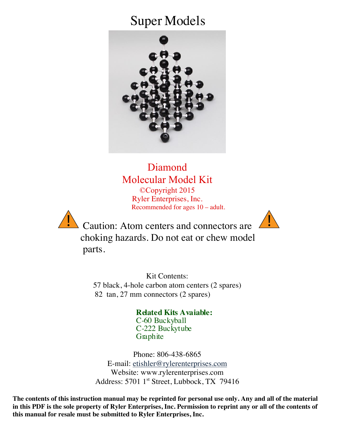## Super Models



Diamond Molecular Model Kit ©Copyright 2015 Ryler Enterprises, Inc. Recommended for ages 10 – adult.



 $\sum$  Caution: Atom centers and connectors are  $\sum$  choking hazards. Do not eat or chew model parts.

> Kit Contents: 57 black, 4-hole carbon atom centers (2 spares) 82 tan, 27 mm connectors (2 spares)

> > **Related Kits Avaiable:** C-60 Buckyball C-222 Buckytube Graphite

Phone: 806-438-6865 E-mail: etishler@rylerenterprises.com Website: www.rylerenterprises.com Address: 5701 1<sup>st</sup> Street, Lubbock, TX 79416

**The contents of this instruction manual may be reprinted for personal use only. Any and all of the material in this PDF is the sole property of Ryler Enterprises, Inc. Permission to reprint any or all of the contents of this manual for resale must be submitted to Ryler Enterprises, Inc.**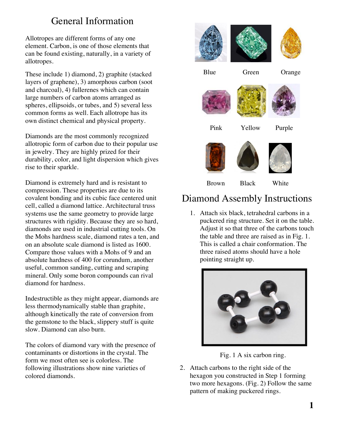## General Information

Allotropes are different forms of any one element. Carbon, is one of those elements that can be found existing, naturally, in a variety of allotropes.

These include 1) diamond, 2) graphite (stacked layers of graphene), 3) amorphous carbon (soot and charcoal), 4) fullerenes which can contain large numbers of carbon atoms arranged as spheres, ellipsoids, or tubes, and 5) several less common forms as well. Each allotrope has its own distinct chemical and physical property.

Diamonds are the most commonly recognized allotropic form of carbon due to their popular use in jewelry. They are highly prized for their durability, color, and light dispersion which gives rise to their sparkle.

Diamond is extremely hard and is resistant to compression. These properties are due to its covalent bonding and its cubic face centered unit cell, called a diamond lattice. Architectural truss systems use the same geometry to provide large structures with rigidity. Because they are so hard, diamonds are used in industrial cutting tools. On the Mohs hardness scale, diamond rates a ten, and on an absolute scale diamond is listed as 1600. Compare those values with a Mohs of 9 and an absolute hardness of 400 for corundum, another useful, common sanding, cutting and scraping mineral. Only some boron compounds can rival diamond for hardness.

Indestructible as they might appear, diamonds are less thermodynamically stable than graphite, although kinetically the rate of conversion from the gemstone to the black, slippery stuff is quite slow. Diamond can also burn.

The colors of diamond vary with the presence of contaminants or distortions in the crystal. The form we most often see is colorless. The following illustrations show nine varieties of colored diamonds.



## Diamond Assembly Instructions

1. Attach six black, tetrahedral carbons in a puckered ring structure. Set it on the table. Adjust it so that three of the carbons touch the table and three are raised as in Fig. 1. This is called a chair conformation. The three raised atoms should have a hole pointing straight up.



Fig. 1 A six carbon ring.

2. Attach carbons to the right side of the hexagon you constructed in Step 1 forming two more hexagons. (Fig. 2) Follow the same pattern of making puckered rings.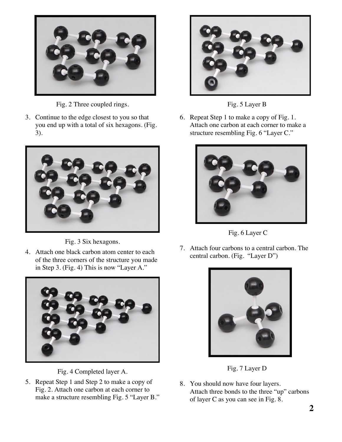

Fig. 2 Three coupled rings.

3. Continue to the edge closest to you so that you end up with a total of six hexagons. (Fig. 3).



Fig. 3 Six hexagons.

4. Attach one black carbon atom center to each of the three corners of the structure you made in Step 3. (Fig. 4) This is now "Layer A."





5. Repeat Step 1 and Step 2 to make a copy of Fig. 2. Attach one carbon at each corner to make a structure resembling Fig. 5 "Layer B."



Fig. 5 Layer B

6. Repeat Step 1 to make a copy of Fig. 1. Attach one carbon at each corner to make a structure resembling Fig. 6 "Layer C."





7. Attach four carbons to a central carbon. The central carbon. (Fig. "Layer D")





8. You should now have four layers. Attach three bonds to the three "up" carbons of layer C as you can see in Fig. 8.